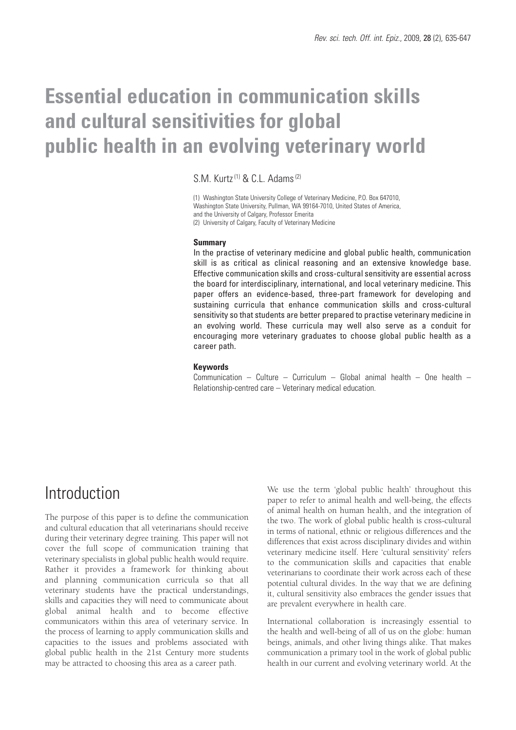# **Essential education in communication skills and cultural sensitivities for global public health in an evolving veterinary world**

 $S \text{M}$  Kurtz<sup>(1)</sup> & C.L. Adams<sup>(2)</sup>

(1) Washington State University College of Veterinary Medicine, P.O. Box 647010, Washington State University, Pullman, WA 99164-7010, United States of America, and the University of Calgary, Professor Emerita (2) University of Calgary, Faculty of Veterinary Medicine

### **Summary**

In the practise of veterinary medicine and global public health, communication skill is as critical as clinical reasoning and an extensive knowledge base. Effective communication skills and cross-cultural sensitivity are essential across the board for interdisciplinary, international, and local veterinary medicine. This paper offers an evidence-based, three-part framework for developing and sustaining curricula that enhance communication skills and cross-cultural sensitivity so that students are better prepared to practise veterinary medicine in an evolving world. These curricula may well also serve as a conduit for encouraging more veterinary graduates to choose global public health as a career path.

#### **Keywords**

Communication – Culture – Curriculum – Global animal health – One health – Relationship-centred care – Veterinary medical education.

### Introduction

The purpose of this paper is to define the communication and cultural education that all veterinarians should receive during their veterinary degree training. This paper will not cover the full scope of communication training that veterinary specialists in global public health would require. Rather it provides a framework for thinking about and planning communication curricula so that all veterinary students have the practical understandings, skills and capacities they will need to communicate about global animal health and to become effective communicators within this area of veterinary service. In the process of learning to apply communication skills and capacities to the issues and problems associated with global public health in the 21st Century more students may be attracted to choosing this area as a career path.

We use the term 'global public health' throughout this paper to refer to animal health and well-being, the effects of animal health on human health, and the integration of the two. The work of global public health is cross-cultural in terms of national, ethnic or religious differences and the differences that exist across disciplinary divides and within veterinary medicine itself. Here 'cultural sensitivity' refers to the communication skills and capacities that enable veterinarians to coordinate their work across each of these potential cultural divides. In the way that we are defining it, cultural sensitivity also embraces the gender issues that are prevalent everywhere in health care.

International collaboration is increasingly essential to the health and well-being of all of us on the globe: human beings, animals, and other living things alike. That makes communication a primary tool in the work of global public health in our current and evolving veterinary world. At the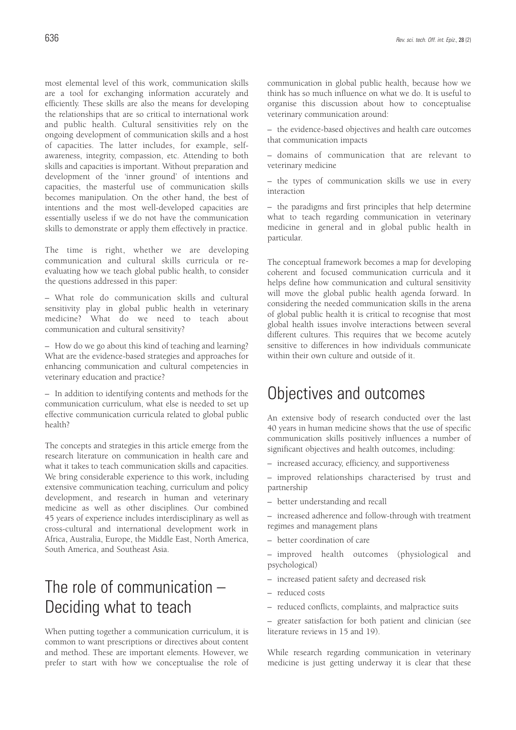most elemental level of this work, communication skills are a tool for exchanging information accurately and efficiently. These skills are also the means for developing the relationships that are so critical to international work and public health. Cultural sensitivities rely on the ongoing development of communication skills and a host of capacities. The latter includes, for example, selfawareness, integrity, compassion, etc. Attending to both skills and capacities is important. Without preparation and development of the 'inner ground' of intentions and capacities, the masterful use of communication skills becomes manipulation. On the other hand, the best of intentions and the most well-developed capacities are essentially useless if we do not have the communication skills to demonstrate or apply them effectively in practice.

The time is right, whether we are developing communication and cultural skills curricula or reevaluating how we teach global public health, to consider the questions addressed in this paper:

– What role do communication skills and cultural sensitivity play in global public health in veterinary medicine? What do we need to teach about communication and cultural sensitivity?

– How do we go about this kind of teaching and learning? What are the evidence-based strategies and approaches for enhancing communication and cultural competencies in veterinary education and practice?

– In addition to identifying contents and methods for the communication curriculum, what else is needed to set up effective communication curricula related to global public health?

The concepts and strategies in this article emerge from the research literature on communication in health care and what it takes to teach communication skills and capacities. We bring considerable experience to this work, including extensive communication teaching, curriculum and policy development, and research in human and veterinary medicine as well as other disciplines. Our combined 45 years of experience includes interdisciplinary as well as cross-cultural and international development work in Africa, Australia, Europe, the Middle East, North America, South America, and Southeast Asia.

### The role of communication – Deciding what to teach

When putting together a communication curriculum, it is common to want prescriptions or directives about content and method. These are important elements. However, we prefer to start with how we conceptualise the role of communication in global public health, because how we think has so much influence on what we do. It is useful to organise this discussion about how to conceptualise veterinary communication around:

– the evidence-based objectives and health care outcomes that communication impacts

– domains of communication that are relevant to veterinary medicine

– the types of communication skills we use in every interaction

– the paradigms and first principles that help determine what to teach regarding communication in veterinary medicine in general and in global public health in particular.

The conceptual framework becomes a map for developing coherent and focused communication curricula and it helps define how communication and cultural sensitivity will move the global public health agenda forward. In considering the needed communication skills in the arena of global public health it is critical to recognise that most global health issues involve interactions between several different cultures. This requires that we become acutely sensitive to differences in how individuals communicate within their own culture and outside of it.

### Objectives and outcomes

An extensive body of research conducted over the last 40 years in human medicine shows that the use of specific communication skills positively influences a number of significant objectives and health outcomes, including:

- increased accuracy, efficiency, and supportiveness
- improved relationships characterised by trust and partnership
- better understanding and recall

– increased adherence and follow-through with treatment regimes and management plans

– better coordination of care

– improved health outcomes (physiological and psychological)

- increased patient safety and decreased risk
- reduced costs
- reduced conflicts, complaints, and malpractice suits

– greater satisfaction for both patient and clinician (see literature reviews in 15 and 19).

While research regarding communication in veterinary medicine is just getting underway it is clear that these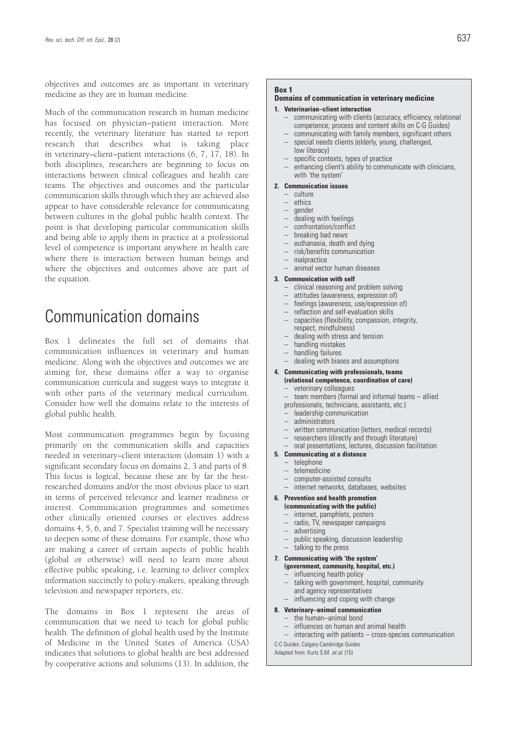objectives and outcomes are as important in veterinary medicine as they are in human medicine.

Much of the communication research in human medicine has focused on physician–patient interaction. More recently, the veterinary literature has started to report research that describes what is taking place in veterinary–client–patient interactions (6, 7, 17, 18). In both disciplines, researchers are beginning to focus on interactions between clinical colleagues and health care teams. The objectives and outcomes and the particular communication skills through which they are achieved also appear to have considerable relevance for communicating between cultures in the global public health context. The point is that developing particular communication skills and being able to apply them in practice at a professional level of competence is important anywhere in health care where there is interaction between human beings and where the objectives and outcomes above are part of the equation.

### Communication domains

Box 1 delineates the full set of domains that communication influences in veterinary and human medicine. Along with the objectives and outcomes we are aiming for, these domains offer a way to organise communication curricula and suggest ways to integrate it with other parts of the veterinary medical curriculum. Consider how well the domains relate to the interests of global public health.

Most communication programmes begin by focusing primarily on the communication skills and capacities needed in veterinary–client interaction (domain 1) with a significant secondary focus on domains 2, 3 and parts of 8. This focus is logical, because these are by far the bestresearched domains and/or the most obvious place to start in terms of perceived relevance and learner readiness or interest. Communication programmes and sometimes other clinically oriented courses or electives address domains 4, 5, 6, and 7. Specialist training will be necessary to deepen some of these domains. For example, those who are making a career of certain aspects of public health (global or otherwise) will need to learn more about effective public speaking, i.e. learning to deliver complex information succinctly to policy-makers, speaking through television and newspaper reporters, etc.

The domains in Box 1 represent the areas of communication that we need to teach for global public health. The definition of global health used by the Institute of Medicine in the United States of America (USA) indicates that solutions to global health are best addressed by cooperative actions and solutions (13). In addition, the

### **Box 1**

### **Domains of communication in veterinary medicine**

#### **1. Veterinarian–client interaction**

- communicating with clients (accuracy, efficiency, relational competence; process and content skills on C-G Guides)
- communicating with family members, significant others – special needs clients (elderly, young, challenged,
	- low literacy)
- specific contexts, types of practice
- enhancing client's ability to communicate with clinicians, with 'the system'

#### **2. Communication issues**

- culture
- ethics
- gender
- dealing with feelings
- confrontation/conflict
- breaking bad news
- euthanasia, death and dying
- risk/benefits communication
- malpractice
- animal vector human diseases

#### **3. Communication with self**

- clinical reasoning and problem solving
- attitudes (awareness, expression of)
- feelings (awareness, use/expression of)
- reflection and self-evaluation skills
- capacities (flexibility, compassion, integrity, respect, mindfulness)
- dealing with stress and tension
- handling mistakes
- handling failures
- dealing with biases and assumptions

### **4. Communicating with professionals, teams (relational competence, coordination of care)**

- veterinary colleagues – team members (formal and informal teams – allied
- professionals, technicians, assistants, etc.)
- leadership communication
- leadersmy June<br>– administrators
- 
- written communication (letters, medical records)
- researchers (directly and through literature) – oral presentations, lectures, discussion facilitation
- **5. Communicating at a distance**
	- telephone
	- telemedicine
	- computer-assisted consults
	- internet networks, databases, websites

### **6. Prevention and health promotion**

### **(communicating with the public)**

- internet, pamphlets, posters
- radio, TV, newspaper campaigns
- advertising
- public speaking, discussion leadership<br>– talking to the press
- talking to the press

#### **7. Communicating with 'the system' (government, community, hospital, etc.)**

- $-$  influencing health policy<br> $-$  talking with government
- talking with government, hospital, community and agency representatives
- influencing and coping with change
- **8. Veterinary–animal communication**
	- the human–animal bond
	- influences on human and animal health
	- interacting with patients cross-species communication

C-C Guides: Calgary-Cambridge Guides

Adapted from: Kurtz S.M. *et al.* (15)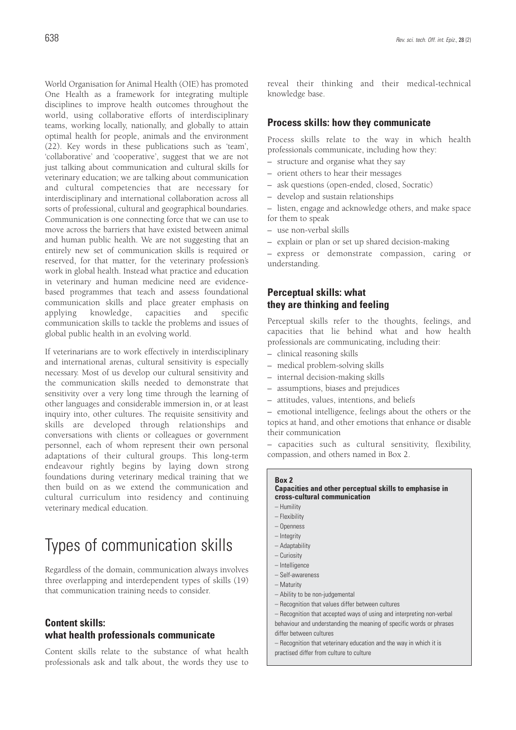World Organisation for Animal Health (OIE) has promoted One Health as a framework for integrating multiple disciplines to improve health outcomes throughout the world, using collaborative efforts of interdisciplinary teams, working locally, nationally, and globally to attain optimal health for people, animals and the environment (22). Key words in these publications such as 'team', 'collaborative' and 'cooperative', suggest that we are not just talking about communication and cultural skills for veterinary education; we are talking about communication and cultural competencies that are necessary for interdisciplinary and international collaboration across all sorts of professional, cultural and geographical boundaries. Communication is one connecting force that we can use to move across the barriers that have existed between animal and human public health. We are not suggesting that an entirely new set of communication skills is required or reserved, for that matter, for the veterinary profession's work in global health. Instead what practice and education in veterinary and human medicine need are evidencebased programmes that teach and assess foundational communication skills and place greater emphasis on applying knowledge, capacities and specific communication skills to tackle the problems and issues of global public health in an evolving world.

If veterinarians are to work effectively in interdisciplinary and international arenas, cultural sensitivity is especially necessary. Most of us develop our cultural sensitivity and the communication skills needed to demonstrate that sensitivity over a very long time through the learning of other languages and considerable immersion in, or at least inquiry into, other cultures. The requisite sensitivity and skills are developed through relationships and conversations with clients or colleagues or government personnel, each of whom represent their own personal adaptations of their cultural groups. This long-term endeavour rightly begins by laying down strong foundations during veterinary medical training that we then build on as we extend the communication and cultural curriculum into residency and continuing veterinary medical education.

### Types of communication skills

Regardless of the domain, communication always involves three overlapping and interdependent types of skills (19) that communication training needs to consider.

### **Content skills: what health professionals communicate**

Content skills relate to the substance of what health professionals ask and talk about, the words they use to reveal their thinking and their medical-technical knowledge base.

### **Process skills: how they communicate**

Process skills relate to the way in which health professionals communicate, including how they:

- structure and organise what they say
- orient others to hear their messages
- ask questions (open-ended, closed, Socratic)
- develop and sustain relationships
- listen, engage and acknowledge others, and make space for them to speak
- use non-verbal skills
- explain or plan or set up shared decision-making

– express or demonstrate compassion, caring or understanding.

### **Perceptual skills: what they are thinking and feeling**

Perceptual skills refer to the thoughts, feelings, and capacities that lie behind what and how health professionals are communicating, including their:

- clinical reasoning skills
- medical problem-solving skills
- internal decision-making skills
- assumptions, biases and prejudices
- attitudes, values, intentions, and beliefs

– emotional intelligence, feelings about the others or the topics at hand, and other emotions that enhance or disable their communication

– capacities such as cultural sensitivity, flexibility, compassion, and others named in Box 2.

### **Box 2**

### **Capacities and other perceptual skills to emphasise in cross-cultural communication**

- Humility
- Flexibility
- Openness
- Integrity
- Adaptability
- Curiosity – Intelligence
- Self-awareness
- Maturity
- Ability to be non-judgemental
- Recognition that values differ between cultures
- Recognition that accepted ways of using and interpreting non-verbal behaviour and understanding the meaning of specific words or phrases differ between cultures
- Recognition that veterinary education and the way in which it is practised differ from culture to culture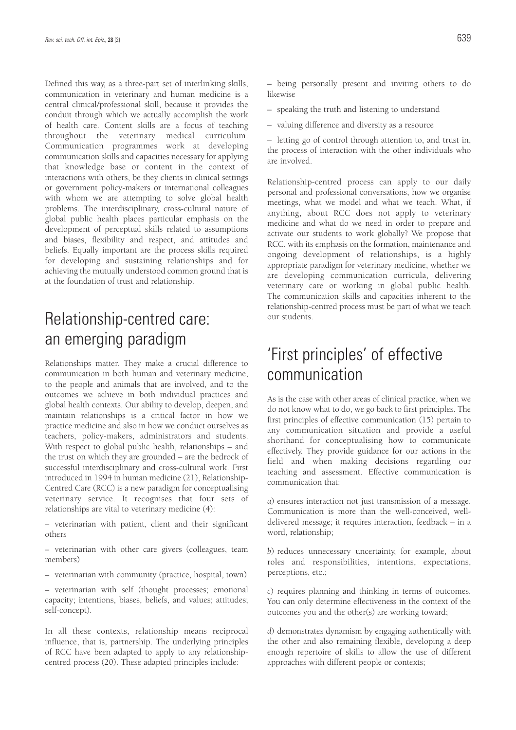Defined this way, as a three-part set of interlinking skills, communication in veterinary and human medicine is a central clinical/professional skill, because it provides the conduit through which we actually accomplish the work of health care. Content skills are a focus of teaching throughout the veterinary medical curriculum. Communication programmes work at developing communication skills and capacities necessary for applying that knowledge base or content in the context of interactions with others, be they clients in clinical settings or government policy-makers or international colleagues with whom we are attempting to solve global health problems. The interdisciplinary, cross-cultural nature of global public health places particular emphasis on the development of perceptual skills related to assumptions and biases, flexibility and respect, and attitudes and beliefs. Equally important are the process skills required for developing and sustaining relationships and for achieving the mutually understood common ground that is at the foundation of trust and relationship.

# Relationship-centred care: an emerging paradigm

Relationships matter. They make a crucial difference to communication in both human and veterinary medicine, to the people and animals that are involved, and to the outcomes we achieve in both individual practices and global health contexts. Our ability to develop, deepen, and maintain relationships is a critical factor in how we practice medicine and also in how we conduct ourselves as teachers, policy-makers, administrators and students. With respect to global public health, relationships – and the trust on which they are grounded – are the bedrock of successful interdisciplinary and cross-cultural work. First introduced in 1994 in human medicine (21), Relationship-Centred Care (RCC) is a new paradigm for conceptualising veterinary service. It recognises that four sets of relationships are vital to veterinary medicine (4):

– veterinarian with patient, client and their significant others

– veterinarian with other care givers (colleagues, team members)

– veterinarian with community (practice, hospital, town)

– veterinarian with self (thought processes; emotional capacity; intentions, biases, beliefs, and values; attitudes; self-concept).

In all these contexts, relationship means reciprocal influence, that is, partnership. The underlying principles of RCC have been adapted to apply to any relationshipcentred process (20). These adapted principles include:

– being personally present and inviting others to do likewise

- speaking the truth and listening to understand
- valuing difference and diversity as a resource

– letting go of control through attention to, and trust in, the process of interaction with the other individuals who are involved.

Relationship-centred process can apply to our daily personal and professional conversations, how we organise meetings, what we model and what we teach. What, if anything, about RCC does not apply to veterinary medicine and what do we need in order to prepare and activate our students to work globally? We propose that RCC, with its emphasis on the formation, maintenance and ongoing development of relationships, is a highly appropriate paradigm for veterinary medicine, whether we are developing communication curricula, delivering veterinary care or working in global public health. The communication skills and capacities inherent to the relationship-centred process must be part of what we teach our students.

### 'First principles' of effective communication

As is the case with other areas of clinical practice, when we do not know what to do, we go back to first principles. The first principles of effective communication (15) pertain to any communication situation and provide a useful shorthand for conceptualising how to communicate effectively. They provide guidance for our actions in the field and when making decisions regarding our teaching and assessment. Effective communication is communication that:

*a*) ensures interaction not just transmission of a message. Communication is more than the well-conceived, welldelivered message; it requires interaction, feedback – in a word, relationship;

*b*) reduces unnecessary uncertainty, for example, about roles and responsibilities, intentions, expectations, perceptions, etc.;

*c*) requires planning and thinking in terms of outcomes. You can only determine effectiveness in the context of the outcomes you and the other(s) are working toward;

*d*) demonstrates dynamism by engaging authentically with the other and also remaining flexible, developing a deep enough repertoire of skills to allow the use of different approaches with different people or contexts;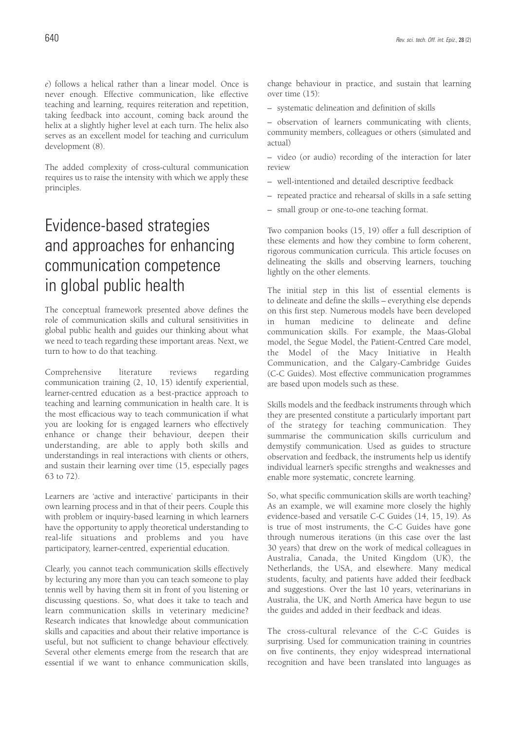*e*) follows a helical rather than a linear model. Once is never enough. Effective communication, like effective teaching and learning, requires reiteration and repetition, taking feedback into account, coming back around the helix at a slightly higher level at each turn. The helix also serves as an excellent model for teaching and curriculum development (8).

The added complexity of cross-cultural communication requires us to raise the intensity with which we apply these principles.

# Evidence-based strategies and approaches for enhancing communication competence in global public health

The conceptual framework presented above defines the role of communication skills and cultural sensitivities in global public health and guides our thinking about what we need to teach regarding these important areas. Next, we turn to how to do that teaching.

Comprehensive literature reviews regarding communication training (2, 10, 15) identify experiential, learner-centred education as a best-practice approach to teaching and learning communication in health care. It is the most efficacious way to teach communication if what you are looking for is engaged learners who effectively enhance or change their behaviour, deepen their understanding, are able to apply both skills and understandings in real interactions with clients or others, and sustain their learning over time (15, especially pages 63 to 72).

Learners are 'active and interactive' participants in their own learning process and in that of their peers. Couple this with problem or inquiry-based learning in which learners have the opportunity to apply theoretical understanding to real-life situations and problems and you have participatory, learner-centred, experiential education.

Clearly, you cannot teach communication skills effectively by lecturing any more than you can teach someone to play tennis well by having them sit in front of you listening or discussing questions. So, what does it take to teach and learn communication skills in veterinary medicine? Research indicates that knowledge about communication skills and capacities and about their relative importance is useful, but not sufficient to change behaviour effectively. Several other elements emerge from the research that are essential if we want to enhance communication skills, change behaviour in practice, and sustain that learning over time (15):

– systematic delineation and definition of skills

– observation of learners communicating with clients, community members, colleagues or others (simulated and actual)

– video (or audio) recording of the interaction for later review

- well-intentioned and detailed descriptive feedback
- repeated practice and rehearsal of skills in a safe setting
- small group or one-to-one teaching format.

Two companion books (15, 19) offer a full description of these elements and how they combine to form coherent, rigorous communication curricula. This article focuses on delineating the skills and observing learners, touching lightly on the other elements.

The initial step in this list of essential elements is to delineate and define the skills – everything else depends on this first step. Numerous models have been developed in human medicine to delineate and define communication skills. For example, the Maas-Global model, the Segue Model, the Patient-Centred Care model, the Model of the Macy Initiative in Health Communication, and the Calgary-Cambridge Guides (C-C Guides). Most effective communication programmes are based upon models such as these.

Skills models and the feedback instruments through which they are presented constitute a particularly important part of the strategy for teaching communication. They summarise the communication skills curriculum and demystify communication. Used as guides to structure observation and feedback, the instruments help us identify individual learner's specific strengths and weaknesses and enable more systematic, concrete learning.

So, what specific communication skills are worth teaching? As an example, we will examine more closely the highly evidence-based and versatile C-C Guides (14, 15, 19). As is true of most instruments, the C-C Guides have gone through numerous iterations (in this case over the last 30 years) that drew on the work of medical colleagues in Australia, Canada, the United Kingdom (UK), the Netherlands, the USA, and elsewhere. Many medical students, faculty, and patients have added their feedback and suggestions. Over the last 10 years, veterinarians in Australia, the UK, and North America have begun to use the guides and added in their feedback and ideas.

The cross-cultural relevance of the C-C Guides is surprising. Used for communication training in countries on five continents, they enjoy widespread international recognition and have been translated into languages as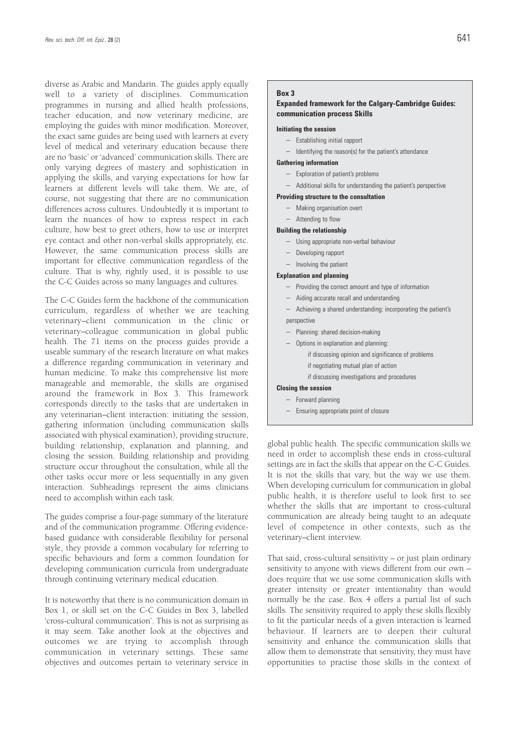diverse as Arabic and Mandarin. The guides apply equally well to a variety of disciplines. Communication programmes in nursing and allied health professions, teacher education, and now veterinary medicine, are employing the guides with minor modification. Moreover, the exact same guides are being used with learners at every level of medical and veterinary education because there are no 'basic' or 'advanced' communication skills. There are only varying degrees of mastery and sophistication in applying the skills, and varying expectations for how far learners at different levels will take them. We are, of course, not suggesting that there are no communication differences across cultures. Undoubtedly it is important to learn the nuances of how to express respect in each culture, how best to greet others, how to use or interpret eye contact and other non-verbal skills appropriately, etc. However, the same communication process skills are important for effective communication regardless of the culture. That is why, rightly used, it is possible to use the C-C Guides across so many languages and cultures.

The C-C Guides form the backbone of the communication curriculum, regardless of whether we are teaching veterinary–client communication in the clinic or veterinary–colleague communication in global public health. The 71 items on the process guides provide a useable summary of the research literature on what makes a difference regarding communication in veterinary and human medicine. To make this comprehensive list more manageable and memorable, the skills are organised around the framework in Box 3. This framework corresponds directly to the tasks that are undertaken in any veterinarian–client interaction: initiating the session, gathering information (including communication skills associated with physical examination), providing structure, building relationship, explanation and planning, and closing the session. Building relationship and providing structure occur throughout the consultation, while all the other tasks occur more or less sequentially in any given interaction. Subheadings represent the aims clinicians need to accomplish within each task.

The guides comprise a four-page summary of the literature and of the communication programme. Offering evidencebased guidance with considerable flexibility for personal style, they provide a common vocabulary for referring to specific behaviours and form a common foundation for developing communication curricula from undergraduate through continuing veterinary medical education.

It is noteworthy that there is no communication domain in Box 1, or skill set on the C-C Guides in Box 3, labelled 'cross-cultural communication'. This is not as surprising as it may seem. Take another look at the objectives and outcomes we are trying to accomplish through communication in veterinary settings. These same objectives and outcomes pertain to veterinary service in

### **Box 3**

### **Expanded framework for the Calgary-Cambridge Guides: communication process Skills**

### **Initiating the session**

- Establishing initial rapport
- Identifying the reason(s) for the patient's attendance

### **Gathering information**

- Exploration of patient's problems
- Additional skills for understanding the patient's perspective
- **Providing structure to the consultation**
	- Making organisation overt
	- Attending to flow

#### **Building the relationship**

- Using appropriate non-verbal behaviour
- Developing rapport
- Involving the patient

#### **Explanation and planning**

- Providing the correct amount and type of information
- Aiding accurate recall and understanding
- Achieving a shared understanding: incorporating the patient's perspective
- Planning: shared decision-making
- Options in explanation and planning: if discussing opinion and significance of problems if negotiating mutual plan of action
	- if discussing investigations and procedures

### **Closing the session**

- Forward planning
- Ensuring appropriate point of closure

global public health. The specific communication skills we need in order to accomplish these ends in cross-cultural settings are in fact the skills that appear on the C-C Guides. It is not the skills that vary, but the way we use them. When developing curriculum for communication in global public health, it is therefore useful to look first to see whether the skills that are important to cross-cultural communication are already being taught to an adequate level of competence in other contexts, such as the veterinary–client interview.

That said, cross-cultural sensitivity – or just plain ordinary sensitivity to anyone with views different from our own – does require that we use some communication skills with greater intensity or greater intentionality than would normally be the case. Box 4 offers a partial list of such skills. The sensitivity required to apply these skills flexibly to fit the particular needs of a given interaction is learned behaviour. If learners are to deepen their cultural sensitivity and enhance the communication skills that allow them to demonstrate that sensitivity, they must have opportunities to practise those skills in the context of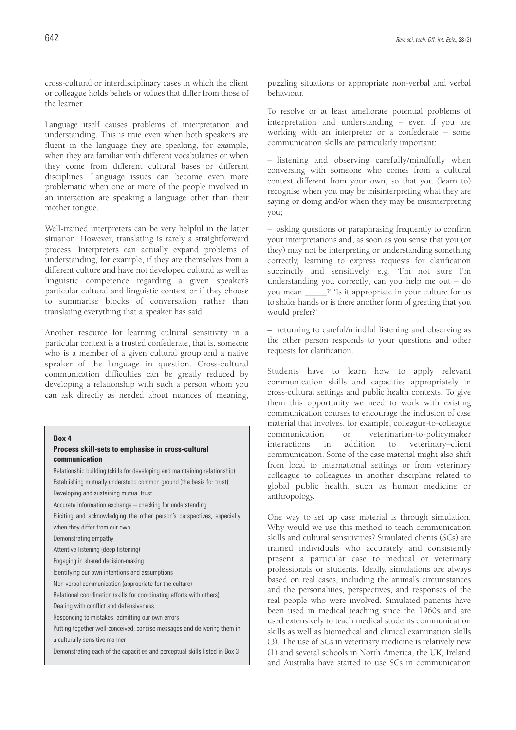cross-cultural or interdisciplinary cases in which the client or colleague holds beliefs or values that differ from those of the learner.

Language itself causes problems of interpretation and understanding. This is true even when both speakers are fluent in the language they are speaking, for example, when they are familiar with different vocabularies or when they come from different cultural bases or different disciplines. Language issues can become even more problematic when one or more of the people involved in an interaction are speaking a language other than their mother tongue.

Well-trained interpreters can be very helpful in the latter situation. However, translating is rarely a straightforward process. Interpreters can actually expand problems of understanding, for example, if they are themselves from a different culture and have not developed cultural as well as linguistic competence regarding a given speaker's particular cultural and linguistic context or if they choose to summarise blocks of conversation rather than translating everything that a speaker has said.

Another resource for learning cultural sensitivity in a particular context is a trusted confederate, that is, someone who is a member of a given cultural group and a native speaker of the language in question. Cross-cultural communication difficulties can be greatly reduced by developing a relationship with such a person whom you can ask directly as needed about nuances of meaning,

#### **Box 4**

### **Process skill-sets to emphasise in cross-cultural communication**

Relationship building (skills for developing and maintaining relationship) Establishing mutually understood common ground (the basis for trust) Developing and sustaining mutual trust Accurate information exchange – checking for understanding Eliciting and acknowledging the other person's perspectives, especially when they differ from our own Demonstrating empathy Attentive listening (deep listening) Engaging in shared decision-making Identifying our own intentions and assumptions Non-verbal communication (appropriate for the culture) Relational coordination (skills for coordinating efforts with others) Dealing with conflict and defensiveness Responding to mistakes, admitting our own errors Putting together well-conceived, concise messages and delivering them in a culturally sensitive manner Demonstrating each of the capacities and perceptual skills listed in Box 3

puzzling situations or appropriate non-verbal and verbal behaviour.

To resolve or at least ameliorate potential problems of interpretation and understanding – even if you are working with an interpreter or a confederate – some communication skills are particularly important:

– listening and observing carefully/mindfully when conversing with someone who comes from a cultural context different from your own, so that you (learn to) recognise when you may be misinterpreting what they are saying or doing and/or when they may be misinterpreting you;

– asking questions or paraphrasing frequently to confirm your interpretations and, as soon as you sense that you (or they) may not be interpreting or understanding something correctly, learning to express requests for clarification succinctly and sensitively, e.g. 'I'm not sure I'm understanding you correctly; can you help me out – do you mean \_\_\_\_\_?' 'Is it appropriate in your culture for us to shake hands or is there another form of greeting that you would prefer?'

– returning to careful/mindful listening and observing as the other person responds to your questions and other requests for clarification.

Students have to learn how to apply relevant communication skills and capacities appropriately in cross-cultural settings and public health contexts. To give them this opportunity we need to work with existing communication courses to encourage the inclusion of case material that involves, for example, colleague-to-colleague communication or veterinarian-to-policymaker interactions in addition to veterinary–client communication. Some of the case material might also shift from local to international settings or from veterinary colleague to colleagues in another discipline related to global public health, such as human medicine or anthropology.

One way to set up case material is through simulation. Why would we use this method to teach communication skills and cultural sensitivities? Simulated clients (SCs) are trained individuals who accurately and consistently present a particular case to medical or veterinary professionals or students. Ideally, simulations are always based on real cases, including the animal's circumstances and the personalities, perspectives, and responses of the real people who were involved. Simulated patients have been used in medical teaching since the 1960s and are used extensively to teach medical students communication skills as well as biomedical and clinical examination skills (3). The use of SCs in veterinary medicine is relatively new (1) and several schools in North America, the UK, Ireland and Australia have started to use SCs in communication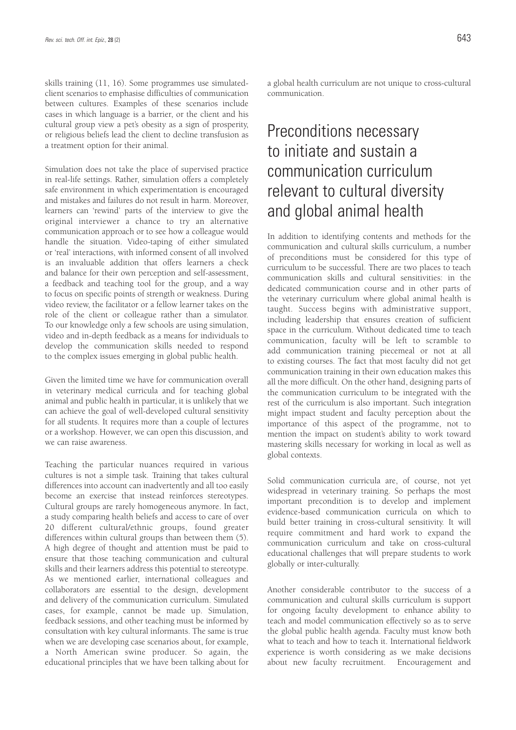skills training (11, 16). Some programmes use simulatedclient scenarios to emphasise difficulties of communication between cultures. Examples of these scenarios include cases in which language is a barrier, or the client and his cultural group view a pet's obesity as a sign of prosperity, or religious beliefs lead the client to decline transfusion as a treatment option for their animal.

Simulation does not take the place of supervised practice in real-life settings. Rather, simulation offers a completely safe environment in which experimentation is encouraged and mistakes and failures do not result in harm. Moreover, learners can 'rewind' parts of the interview to give the original interviewer a chance to try an alternative communication approach or to see how a colleague would handle the situation. Video-taping of either simulated or 'real' interactions, with informed consent of all involved is an invaluable addition that offers learners a check and balance for their own perception and self-assessment, a feedback and teaching tool for the group, and a way to focus on specific points of strength or weakness. During video review, the facilitator or a fellow learner takes on the role of the client or colleague rather than a simulator. To our knowledge only a few schools are using simulation, video and in-depth feedback as a means for individuals to develop the communication skills needed to respond to the complex issues emerging in global public health.

Given the limited time we have for communication overall in veterinary medical curricula and for teaching global animal and public health in particular, it is unlikely that we can achieve the goal of well-developed cultural sensitivity for all students. It requires more than a couple of lectures or a workshop. However, we can open this discussion, and we can raise awareness.

Teaching the particular nuances required in various cultures is not a simple task. Training that takes cultural differences into account can inadvertently and all too easily become an exercise that instead reinforces stereotypes. Cultural groups are rarely homogeneous anymore. In fact, a study comparing health beliefs and access to care of over 20 different cultural/ethnic groups, found greater differences within cultural groups than between them (5). A high degree of thought and attention must be paid to ensure that those teaching communication and cultural skills and their learners address this potential to stereotype. As we mentioned earlier, international colleagues and collaborators are essential to the design, development and delivery of the communication curriculum. Simulated cases, for example, cannot be made up. Simulation, feedback sessions, and other teaching must be informed by consultation with key cultural informants. The same is true when we are developing case scenarios about, for example, a North American swine producer. So again, the educational principles that we have been talking about for a global health curriculum are not unique to cross-cultural communication.

# Preconditions necessary to initiate and sustain a communication curriculum relevant to cultural diversity and global animal health

In addition to identifying contents and methods for the communication and cultural skills curriculum, a number of preconditions must be considered for this type of curriculum to be successful. There are two places to teach communication skills and cultural sensitivities: in the dedicated communication course and in other parts of the veterinary curriculum where global animal health is taught. Success begins with administrative support, including leadership that ensures creation of sufficient space in the curriculum. Without dedicated time to teach communication, faculty will be left to scramble to add communication training piecemeal or not at all to existing courses. The fact that most faculty did not get communication training in their own education makes this all the more difficult. On the other hand, designing parts of the communication curriculum to be integrated with the rest of the curriculum is also important. Such integration might impact student and faculty perception about the importance of this aspect of the programme, not to mention the impact on student's ability to work toward mastering skills necessary for working in local as well as global contexts.

Solid communication curricula are, of course, not yet widespread in veterinary training. So perhaps the most important precondition is to develop and implement evidence-based communication curricula on which to build better training in cross-cultural sensitivity. It will require commitment and hard work to expand the communication curriculum and take on cross-cultural educational challenges that will prepare students to work globally or inter-culturally.

Another considerable contributor to the success of a communication and cultural skills curriculum is support for ongoing faculty development to enhance ability to teach and model communication effectively so as to serve the global public health agenda. Faculty must know both what to teach and how to teach it. International fieldwork experience is worth considering as we make decisions about new faculty recruitment. Encouragement and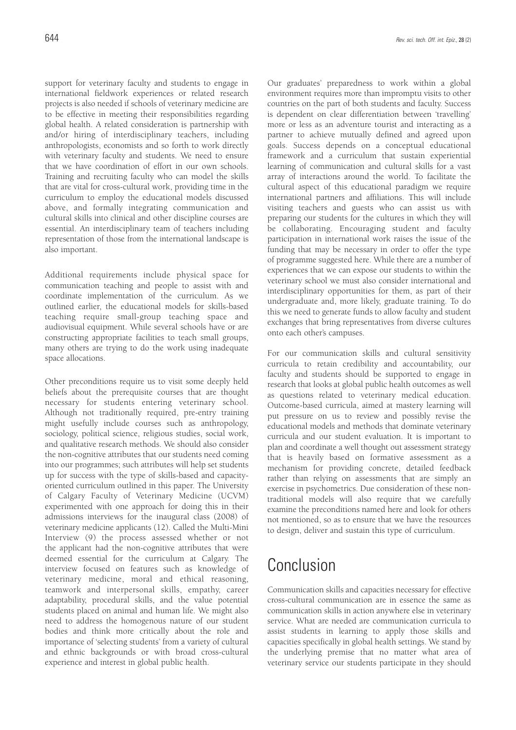support for veterinary faculty and students to engage in international fieldwork experiences or related research projects is also needed if schools of veterinary medicine are to be effective in meeting their responsibilities regarding global health. A related consideration is partnership with and/or hiring of interdisciplinary teachers, including anthropologists, economists and so forth to work directly with veterinary faculty and students. We need to ensure that we have coordination of effort in our own schools. Training and recruiting faculty who can model the skills that are vital for cross-cultural work, providing time in the curriculum to employ the educational models discussed above, and formally integrating communication and cultural skills into clinical and other discipline courses are essential. An interdisciplinary team of teachers including representation of those from the international landscape is also important.

Additional requirements include physical space for communication teaching and people to assist with and coordinate implementation of the curriculum. As we outlined earlier, the educational models for skills-based teaching require small-group teaching space and audiovisual equipment. While several schools have or are constructing appropriate facilities to teach small groups, many others are trying to do the work using inadequate space allocations.

Other preconditions require us to visit some deeply held beliefs about the prerequisite courses that are thought necessary for students entering veterinary school. Although not traditionally required, pre-entry training might usefully include courses such as anthropology, sociology, political science, religious studies, social work, and qualitative research methods. We should also consider the non-cognitive attributes that our students need coming into our programmes; such attributes will help set students up for success with the type of skills-based and capacityoriented curriculum outlined in this paper. The University of Calgary Faculty of Veterinary Medicine (UCVM) experimented with one approach for doing this in their admissions interviews for the inaugural class (2008) of veterinary medicine applicants (12). Called the Multi-Mini Interview (9) the process assessed whether or not the applicant had the non-cognitive attributes that were deemed essential for the curriculum at Calgary. The interview focused on features such as knowledge of veterinary medicine, moral and ethical reasoning, teamwork and interpersonal skills, empathy, career adaptability, procedural skills, and the value potential students placed on animal and human life. We might also need to address the homogenous nature of our student bodies and think more critically about the role and importance of 'selecting students' from a variety of cultural and ethnic backgrounds or with broad cross-cultural experience and interest in global public health.

Our graduates' preparedness to work within a global environment requires more than impromptu visits to other countries on the part of both students and faculty. Success is dependent on clear differentiation between 'travelling' more or less as an adventure tourist and interacting as a partner to achieve mutually defined and agreed upon goals. Success depends on a conceptual educational framework and a curriculum that sustain experiential learning of communication and cultural skills for a vast array of interactions around the world. To facilitate the cultural aspect of this educational paradigm we require international partners and affiliations. This will include visiting teachers and guests who can assist us with preparing our students for the cultures in which they will be collaborating. Encouraging student and faculty participation in international work raises the issue of the funding that may be necessary in order to offer the type of programme suggested here. While there are a number of experiences that we can expose our students to within the veterinary school we must also consider international and interdisciplinary opportunities for them, as part of their undergraduate and, more likely, graduate training. To do this we need to generate funds to allow faculty and student exchanges that bring representatives from diverse cultures onto each other's campuses.

For our communication skills and cultural sensitivity curricula to retain credibility and accountability, our faculty and students should be supported to engage in research that looks at global public health outcomes as well as questions related to veterinary medical education. Outcome-based curricula, aimed at mastery learning will put pressure on us to review and possibly revise the educational models and methods that dominate veterinary curricula and our student evaluation. It is important to plan and coordinate a well thought out assessment strategy that is heavily based on formative assessment as a mechanism for providing concrete, detailed feedback rather than relying on assessments that are simply an exercise in psychometrics. Due consideration of these nontraditional models will also require that we carefully examine the preconditions named here and look for others not mentioned, so as to ensure that we have the resources to design, deliver and sustain this type of curriculum.

### Conclusion

Communication skills and capacities necessary for effective cross-cultural communication are in essence the same as communication skills in action anywhere else in veterinary service. What are needed are communication curricula to assist students in learning to apply those skills and capacities specifically in global health settings. We stand by the underlying premise that no matter what area of veterinary service our students participate in they should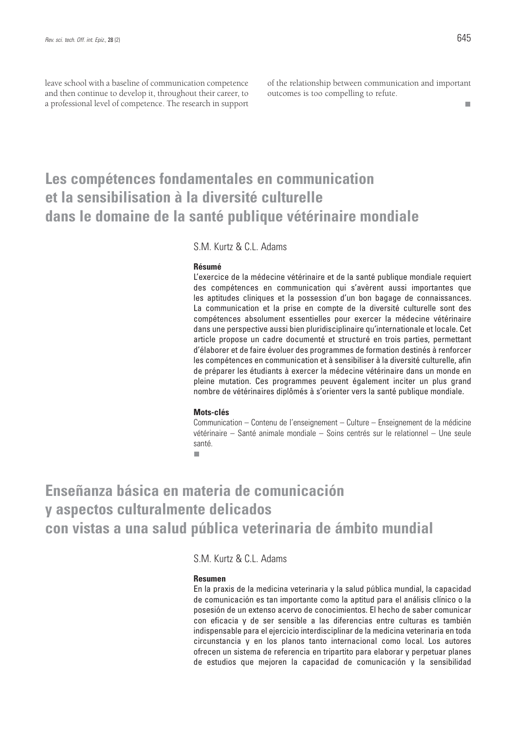leave school with a baseline of communication competence and then continue to develop it, throughout their career, to a professional level of competence. The research in support of the relationship between communication and important outcomes is too compelling to refute.

### **Les compétences fondamentales en communication et la sensibilisation à la diversité culturelle dans le domaine de la santé publique vétérinaire mondiale**

S.M. Kurtz & C.L. Adams

#### **Résumé**

L'exercice de la médecine vétérinaire et de la santé publique mondiale requiert des compétences en communication qui s'avèrent aussi importantes que les aptitudes cliniques et la possession d'un bon bagage de connaissances. La communication et la prise en compte de la diversité culturelle sont des compétences absolument essentielles pour exercer la médecine vétérinaire dans une perspective aussi bien pluridisciplinaire qu'internationale et locale. Cet article propose un cadre documenté et structuré en trois parties, permettant d'élaborer et de faire évoluer des programmes de formation destinés à renforcer les compétences en communication et à sensibiliser à la diversité culturelle, afin de préparer les étudiants à exercer la médecine vétérinaire dans un monde en pleine mutation. Ces programmes peuvent également inciter un plus grand nombre de vétérinaires diplômés à s'orienter vers la santé publique mondiale.

### **Mots-clés**

Communication – Contenu de l'enseignement – Culture – Enseignement de la médicine vétérinaire – Santé animale mondiale – Soins centrés sur le relationnel – Une seule santé.

п

**Enseñanza básica en materia de comunicación y aspectos culturalmente delicados con vistas a una salud pública veterinaria de ámbito mundial**

S.M. Kurtz & C.L. Adams

#### **Resumen**

En la praxis de la medicina veterinaria y la salud pública mundial, la capacidad de comunicación es tan importante como la aptitud para el análisis clínico o la posesión de un extenso acervo de conocimientos. El hecho de saber comunicar con eficacia y de ser sensible a las diferencias entre culturas es también indispensable para el ejercicio interdisciplinar de la medicina veterinaria en toda circunstancia y en los planos tanto internacional como local. Los autores ofrecen un sistema de referencia en tripartito para elaborar y perpetuar planes de estudios que mejoren la capacidad de comunicación y la sensibilidad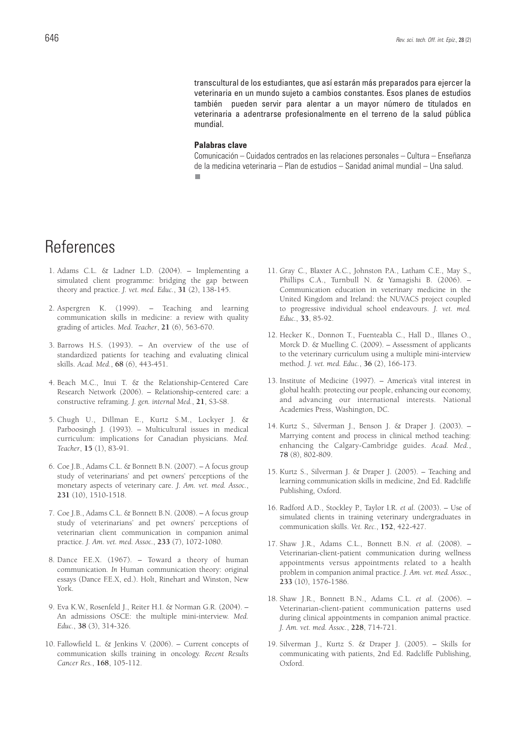transcultural de los estudiantes, que así estarán más preparados para ejercer la veterinaria en un mundo sujeto a cambios constantes. Esos planes de estudios también pueden servir para alentar a un mayor número de titulados en veterinaria a adentrarse profesionalmente en el terreno de la salud pública mundial.

#### **Palabras clave**

Comunicación – Cuidados centrados en las relaciones personales – Cultura – Enseñanza de la medicina veterinaria – Plan de estudios – Sanidad animal mundial – Una salud.п

# **References**

- 1. Adams C.L. & Ladner L.D. (2004). Implementing a simulated client programme: bridging the gap between theory and practice. *J. vet. med. Educ.*, **31** (2), 138-145.
- 2. Aspergren K. (1999). Teaching and learning communication skills in medicine: a review with quality grading of articles. *Med. Teacher*, **21** (6), 563-670.
- 3. Barrows H.S. (1993). An overview of the use of standardized patients for teaching and evaluating clinical skills. *Acad. Med.*, **68** (6), 443-451.
- 4. Beach M.C., Inui T. & the Relationship-Centered Care Research Network (2006). – Relationship-centered care: a constructive reframing. *J. gen. internal Med.*, **21**, S3-S8.
- 5. Chugh U., Dillman E., Kurtz S.M., Lockyer J. & Parboosingh J. (1993). – Multicultural issues in medical curriculum: implications for Canadian physicians. *Med. Teacher*, **15** (1), 83-91.
- 6. Coe J.B., Adams C.L. & Bonnett B.N. (2007). A focus group study of veterinarians' and pet owners' perceptions of the monetary aspects of veterinary care. *J. Am. vet. med. Assoc.*, **231** (10), 1510-1518.
- 7. Coe J.B., Adams C.L. & Bonnett B.N. (2008). A focus group study of veterinarians' and pet owners' perceptions of veterinarian client communication in companion animal practice. *J. Am. vet. med. Assoc.*, **233** (7), 1072-1080.
- 8. Dance F.E.X. (1967). Toward a theory of human communication*. In* Human communication theory: original essays (Dance F.E.X, ed.). Holt, Rinehart and Winston, New York.
- 9. Eva K.W., Rosenfeld J., Reiter H.I. & Norman G.R. (2004). An admissions OSCE: the multiple mini-interview. *Med. Educ.*, **38** (3), 314-326.
- 10. Fallowfield L. & Jenkins V. (2006). Current concepts of communication skills training in oncology. *Recent Results Cancer Res.*, **168**, 105-112.
- 11. Gray C., Blaxter A.C., Johnston P.A., Latham C.E., May S., Phillips C.A., Turnbull N. & Yamagishi B. (2006). – Communication education in veterinary medicine in the United Kingdom and Ireland: the NUVACS project coupled to progressive individual school endeavours. *J. vet. med. Educ.*, **33**, 85-92.
- 12. Hecker K., Donnon T., Fuenteabla C., Hall D., Illanes O., Morck D. & Muelling C. (2009). – Assessment of applicants to the veterinary curriculum using a multiple mini-interview method. *J. vet. med. Educ.*, **36** (2), 166-173.
- 13. Institute of Medicine (1997). America's vital interest in global health: protecting our people, enhancing our economy, and advancing our international interests. National Academies Press, Washington, DC.
- 14. Kurtz S., Silverman J., Benson J. & Draper J. (2003). Marrying content and process in clinical method teaching: enhancing the Calgary-Cambridge guides. *Acad. Med.*, **78** (8), 802-809.
- 15. Kurtz S., Silverman J. & Draper J. (2005). Teaching and learning communication skills in medicine, 2nd Ed. Radcliffe Publishing, Oxford.
- 16. Radford A.D., Stockley P., Taylor I.R. *et al.* (2003). Use of simulated clients in training veterinary undergraduates in communication skills. *Vet. Rec.*, **152**, 422-427.
- 17. Shaw J.R., Adams C.L., Bonnett B.N. *et al.* (2008). Veterinarian-client-patient communication during wellness appointments versus appointments related to a health problem in companion animal practice. *J. Am. vet. med. Assoc.*, **233** (10), 1576-1586.
- 18. Shaw J.R., Bonnett B.N., Adams C.L. *et al.* (2006). Veterinarian-client-patient communication patterns used during clinical appointments in companion animal practice. *J. Am. vet. med. Assoc.*, **228**, 714-721.
- 19. Silverman J., Kurtz S. & Draper J. (2005). Skills for communicating with patients, 2nd Ed. Radcliffe Publishing, Oxford.